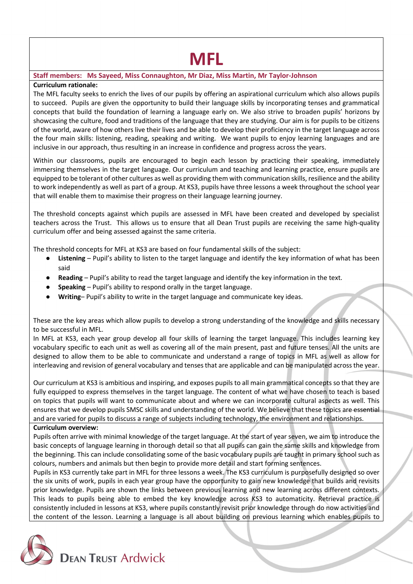# **MFL**

## **Staff members: Ms Sayeed, Miss Connaughton, Mr Diaz, Miss Martin, Mr Taylor-Johnson**

## **Curriculum rationale:**

The MFL faculty seeks to enrich the lives of our pupils by offering an aspirational curriculum which also allows pupils to succeed. Pupils are given the opportunity to build their language skills by incorporating tenses and grammatical concepts that build the foundation of learning a language early on. We also strive to broaden pupils' horizons by showcasing the culture, food and traditions of the language that they are studying. Our aim is for pupils to be citizens of the world, aware of how others live their lives and be able to develop their proficiency in the target language across the four main skills: listening, reading, speaking and writing. We want pupils to enjoy learning languages and are inclusive in our approach, thus resulting in an increase in confidence and progress across the years.

Within our classrooms, pupils are encouraged to begin each lesson by practicing their speaking, immediately immersing themselves in the target language. Our curriculum and teaching and learning practice, ensure pupils are equipped to be tolerant of other cultures as well as providing them with communication skills, resilience and the ability to work independently as well as part of a group. At KS3, pupils have three lessons a week throughout the school year that will enable them to maximise their progress on their language learning journey.

The threshold concepts against which pupils are assessed in MFL have been created and developed by specialist teachers across the Trust. This allows us to ensure that all Dean Trust pupils are receiving the same high-quality curriculum offer and being assessed against the same criteria.

The threshold concepts for MFL at KS3 are based on four fundamental skills of the subject:

- **Listening** Pupil's ability to listen to the target language and identify the key information of what has been said
- **Reading** Pupil's ability to read the target language and identify the key information in the text.
- **Speaking** Pupil's ability to respond orally in the target language.
- Writing- Pupil's ability to write in the target language and communicate key ideas.

These are the key areas which allow pupils to develop a strong understanding of the knowledge and skills necessary to be successful in MFL.

In MFL at KS3, each year group develop all four skills of learning the target language. This includes learning key vocabulary specific to each unit as well as covering all of the main present, past and future tenses. All the units are designed to allow them to be able to communicate and understand a range of topics in MFL as well as allow for interleaving and revision of general vocabulary and tenses that are applicable and can be manipulated across the year.

Our curriculum at KS3 is ambitious and inspiring, and exposes pupils to all main grammatical concepts so that they are fully equipped to express themselves in the target language. The content of what we have chosen to teach is based on topics that pupils will want to communicate about and where we can incorporate cultural aspects as well. This ensures that we develop pupils SMSC skills and understanding of the world. We believe that these topics are essential and are varied for pupils to discuss a range of subjects including technology, the environment and relationships.

#### **Curriculum overview:**

**DEAN TRUST Ardwick** 

Pupils often arrive with minimal knowledge of the target language. At the start of year seven, we aim to introduce the basic concepts of language learning in thorough detail so that all pupils can gain the same skills and knowledge from the beginning. This can include consolidating some of the basic vocabulary pupils are taught in primary school such as colours, numbers and animals but then begin to provide more detail and start forming sentences.

Pupils in KS3 currently take part in MFL for three lessons a week. The KS3 curriculum is purposefully designed so over the six units of work, pupils in each year group have the opportunity to gain new knowledge that builds and revisits prior knowledge. Pupils are shown the links between previous learning and new learning across different contexts. This leads to pupils being able to embed the key knowledge across KS3 to automaticity. Retrieval practice is consistently included in lessons at KS3, where pupils constantly revisit prior knowledge through do now activities and the content of the lesson. Learning a language is all about building on previous learning which enables pupils to